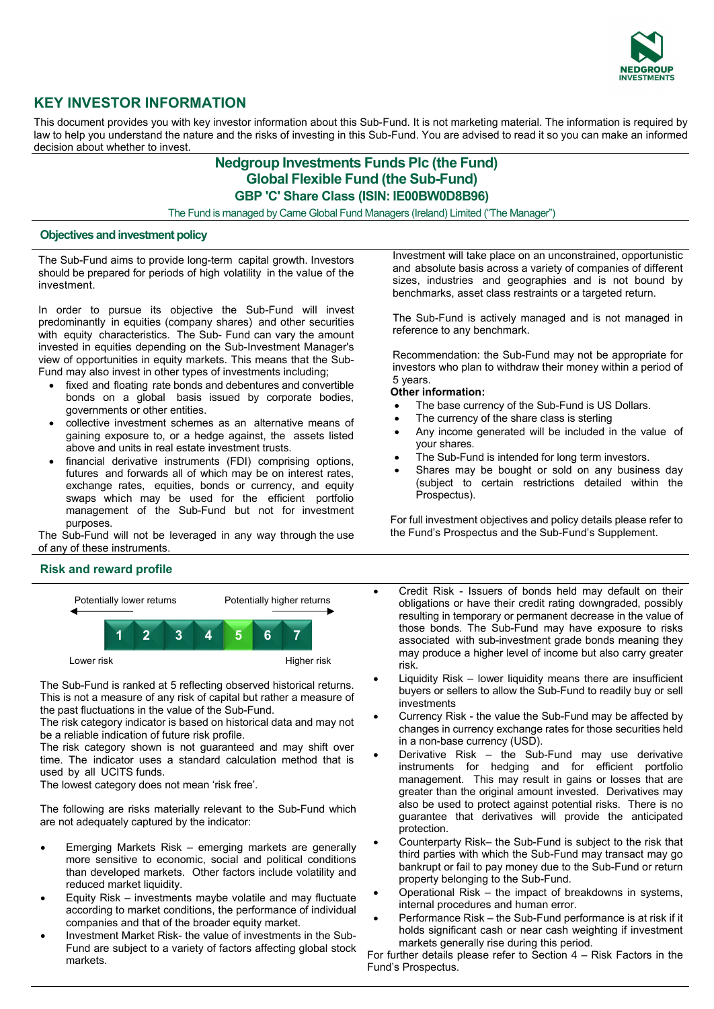

# **KEY INVESTOR INFORMATION**

This document provides you with key investor information about this Sub-Fund. It is not marketing material. The information is required by law to help you understand the nature and the risks of investing in this Sub-Fund. You are advised to read it so you can make an informed decision about whether to invest.

## **Nedgroup Investments Funds Plc (the Fund) Global Flexible Fund (the Sub-Fund) GBP 'C' Share Class (ISIN: IE00BW0D8B96)**

The Fund is managed by Carne Global Fund Managers (Ireland) Limited ("The Manager")

## **Objectives and investment policy**

The Sub-Fund aims to provide long-term capital growth. Investors should be prepared for periods of high volatility in the value of the investment.

In order to pursue its objective the Sub-Fund will invest predominantly in equities (company shares) and other securities with equity characteristics. The Sub- Fund can vary the amount invested in equities depending on the Sub-Investment Manager's view of opportunities in equity markets. This means that the Sub-Fund may also invest in other types of investments including;

- fixed and floating rate bonds and debentures and convertible bonds on a global basis issued by corporate bodies, governments or other entities.
- collective investment schemes as an alternative means of gaining exposure to, or a hedge against, the assets listed above and units in real estate investment trusts.
- financial derivative instruments (FDI) comprising options, futures and forwards all of which may be on interest rates, exchange rates, equities, bonds or currency, and equity swaps which may be used for the efficient portfolio management of the Sub-Fund but not for investment purposes.

The Sub-Fund will not be leveraged in any way through the use of any of these instruments.

## **Risk and reward profile**



The Sub-Fund is ranked at 5 reflecting observed historical returns. This is not a measure of any risk of capital but rather a measure of the past fluctuations in the value of the Sub-Fund.

The risk category indicator is based on historical data and may not be a reliable indication of future risk profile.

The risk category shown is not guaranteed and may shift over time. The indicator uses a standard calculation method that is used by all UCITS funds.

The lowest category does not mean 'risk free'.

The following are risks materially relevant to the Sub-Fund which are not adequately captured by the indicator:

- Emerging Markets Risk emerging markets are generally more sensitive to economic, social and political conditions than developed markets. Other factors include volatility and reduced market liquidity.
- Equity Risk investments maybe volatile and may fluctuate according to market conditions, the performance of individual companies and that of the broader equity market.
- Investment Market Risk- the value of investments in the Sub-Fund are subject to a variety of factors affecting global stock markets.

Investment will take place on an unconstrained, opportunistic and absolute basis across a variety of companies of different sizes, industries and geographies and is not bound by benchmarks, asset class restraints or a targeted return.

The Sub-Fund is actively managed and is not managed in reference to any benchmark.

Recommendation: the Sub-Fund may not be appropriate for investors who plan to withdraw their money within a period of 5 years.

#### **Other information:**

- The base currency of the Sub-Fund is US Dollars.
- The currency of the share class is sterling
- Any income generated will be included in the value of your shares.
- The Sub-Fund is intended for long term investors.
- Shares may be bought or sold on any business day (subject to certain restrictions detailed within the Prospectus).

For full investment objectives and policy details please refer to the Fund's Prospectus and the Sub-Fund's Supplement.

- Credit Risk Issuers of bonds held may default on their obligations or have their credit rating downgraded, possibly resulting in temporary or permanent decrease in the value of those bonds. The Sub-Fund may have exposure to risks associated with sub-investment grade bonds meaning they may produce a higher level of income but also carry greater risk.
- Liquidity Risk lower liquidity means there are insufficient buyers or sellers to allow the Sub-Fund to readily buy or sell investments
- Currency Risk the value the Sub-Fund may be affected by changes in currency exchange rates for those securities held in a non-base currency (USD).
- Derivative Risk the Sub-Fund may use derivative instruments for hedging and for efficient portfolio management. This may result in gains or losses that are greater than the original amount invested. Derivatives may also be used to protect against potential risks. There is no guarantee that derivatives will provide the anticipated protection.
- Counterparty Risk– the Sub-Fund is subject to the risk that third parties with which the Sub-Fund may transact may go bankrupt or fail to pay money due to the Sub-Fund or return property belonging to the Sub-Fund.
- Operational Risk the impact of breakdowns in systems, internal procedures and human error.
- Performance Risk the Sub-Fund performance is at risk if it holds significant cash or near cash weighting if investment markets generally rise during this period.

For further details please refer to Section 4 – Risk Factors in the Fund's Prospectus.